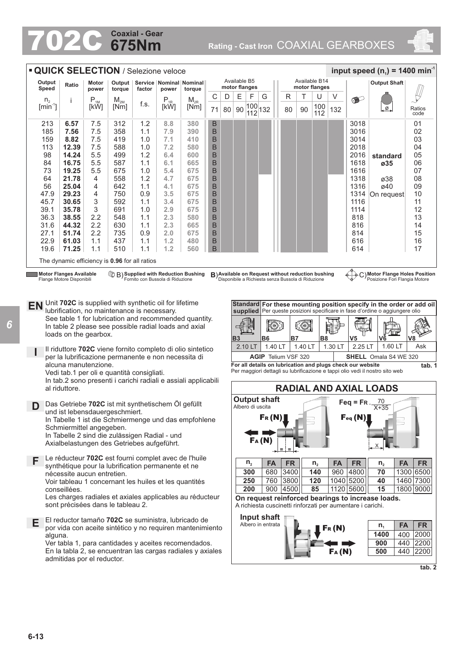## **675Nm Coaxial - Gear**

702C **Rating - Cast Iron** COAXIAL GEARBOXES